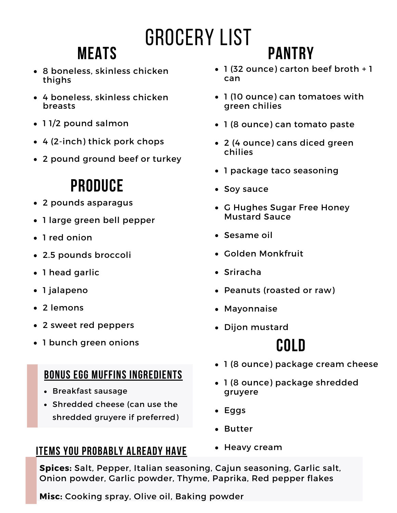# Grocery List

# **Meats**

- 8 boneless, skinless chicken thighs
- 4 boneless, skinless chicken breasts
- 11/2 pound salmon
- 4 (2-inch) thick pork chops
- 2 pound ground beef or turkey

## **Produce**

- 2 pounds asparagus
- 1 large green bell pepper
- 1 red onion
- 2.5 pounds broccoli
- 1 head garlic
- 1 jalapeno
- 2 lemons
- 2 sweet red peppers
- 1 bunch green onions

#### **Bonus egg muffins ingredients**

- Breakfast sausage
- Shredded cheese (can use the shredded gruyere if preferred)

#### **Items you probably already have**

#### 1 (32 ounce) carton beef broth + 1 can

**Pantry**

- 1 (10 ounce) can tomatoes with green chilies
- 1 (8 ounce) can tomato paste
- 2 (4 ounce) cans diced green chilies
- 1 package taco seasoning
- Soy sauce
- G Hughes Sugar Free Honey Mustard Sauce
- Sesame oil
- Golden Monkfruit
- Sriracha
- Peanuts (roasted or raw)
- Mayonnaise
- Dijon mustard

### **Cold**

- 1 (8 ounce) package cream cheese
- 1 (8 ounce) package shredded gruyere
- Eggs
- Butter
- Heavy cream

**Spices:** Salt, Pepper, Italian seasoning, Cajun seasoning, Garlic salt, Onion powder, Garlic powder, Thyme, Paprika, Red pepper flakes

**Misc:** Cooking spray, Olive oil, Baking powder